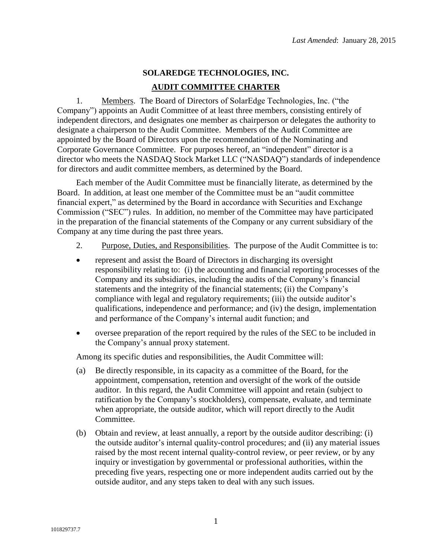## **SOLAREDGE TECHNOLOGIES, INC. AUDIT COMMITTEE CHARTER**

1. Members. The Board of Directors of SolarEdge Technologies, Inc. ("the Company") appoints an Audit Committee of at least three members, consisting entirely of independent directors, and designates one member as chairperson or delegates the authority to designate a chairperson to the Audit Committee. Members of the Audit Committee are appointed by the Board of Directors upon the recommendation of the Nominating and Corporate Governance Committee. For purposes hereof, an "independent" director is a director who meets the NASDAQ Stock Market LLC ("NASDAQ") standards of independence for directors and audit committee members, as determined by the Board.

Each member of the Audit Committee must be financially literate, as determined by the Board. In addition, at least one member of the Committee must be an "audit committee financial expert," as determined by the Board in accordance with Securities and Exchange Commission ("SEC") rules. In addition, no member of the Committee may have participated in the preparation of the financial statements of the Company or any current subsidiary of the Company at any time during the past three years.

- 2. Purpose, Duties, and Responsibilities. The purpose of the Audit Committee is to:
- represent and assist the Board of Directors in discharging its oversight responsibility relating to: (i) the accounting and financial reporting processes of the Company and its subsidiaries, including the audits of the Company's financial statements and the integrity of the financial statements; (ii) the Company's compliance with legal and regulatory requirements; (iii) the outside auditor's qualifications, independence and performance; and (iv) the design, implementation and performance of the Company's internal audit function; and
- oversee preparation of the report required by the rules of the SEC to be included in the Company's annual proxy statement.

Among its specific duties and responsibilities, the Audit Committee will:

- (a) Be directly responsible, in its capacity as a committee of the Board, for the appointment, compensation, retention and oversight of the work of the outside auditor. In this regard, the Audit Committee will appoint and retain (subject to ratification by the Company's stockholders), compensate, evaluate, and terminate when appropriate, the outside auditor, which will report directly to the Audit Committee.
- (b) Obtain and review, at least annually, a report by the outside auditor describing: (i) the outside auditor's internal quality-control procedures; and (ii) any material issues raised by the most recent internal quality-control review, or peer review, or by any inquiry or investigation by governmental or professional authorities, within the preceding five years, respecting one or more independent audits carried out by the outside auditor, and any steps taken to deal with any such issues.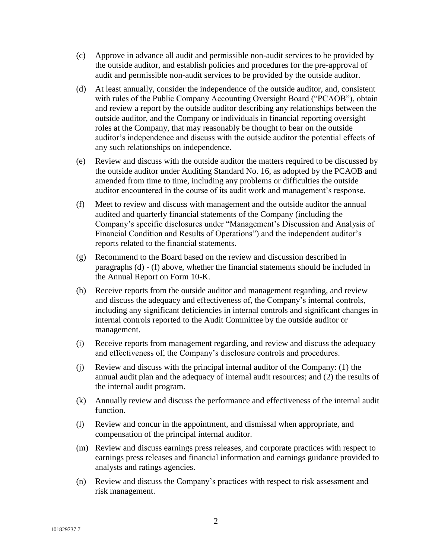- (c) Approve in advance all audit and permissible non-audit services to be provided by the outside auditor, and establish policies and procedures for the pre-approval of audit and permissible non-audit services to be provided by the outside auditor.
- (d) At least annually, consider the independence of the outside auditor, and, consistent with rules of the Public Company Accounting Oversight Board ("PCAOB"), obtain and review a report by the outside auditor describing any relationships between the outside auditor, and the Company or individuals in financial reporting oversight roles at the Company, that may reasonably be thought to bear on the outside auditor's independence and discuss with the outside auditor the potential effects of any such relationships on independence.
- (e) Review and discuss with the outside auditor the matters required to be discussed by the outside auditor under Auditing Standard No. 16, as adopted by the PCAOB and amended from time to time, including any problems or difficulties the outside auditor encountered in the course of its audit work and management's response.
- (f) Meet to review and discuss with management and the outside auditor the annual audited and quarterly financial statements of the Company (including the Company's specific disclosures under "Management's Discussion and Analysis of Financial Condition and Results of Operations") and the independent auditor's reports related to the financial statements.
- (g) Recommend to the Board based on the review and discussion described in paragraphs (d) - (f) above, whether the financial statements should be included in the Annual Report on Form 10-K.
- (h) Receive reports from the outside auditor and management regarding, and review and discuss the adequacy and effectiveness of, the Company's internal controls, including any significant deficiencies in internal controls and significant changes in internal controls reported to the Audit Committee by the outside auditor or management.
- (i) Receive reports from management regarding, and review and discuss the adequacy and effectiveness of, the Company's disclosure controls and procedures.
- (j) Review and discuss with the principal internal auditor of the Company: (1) the annual audit plan and the adequacy of internal audit resources; and (2) the results of the internal audit program.
- (k) Annually review and discuss the performance and effectiveness of the internal audit function.
- (l) Review and concur in the appointment, and dismissal when appropriate, and compensation of the principal internal auditor.
- (m) Review and discuss earnings press releases, and corporate practices with respect to earnings press releases and financial information and earnings guidance provided to analysts and ratings agencies.
- (n) Review and discuss the Company's practices with respect to risk assessment and risk management.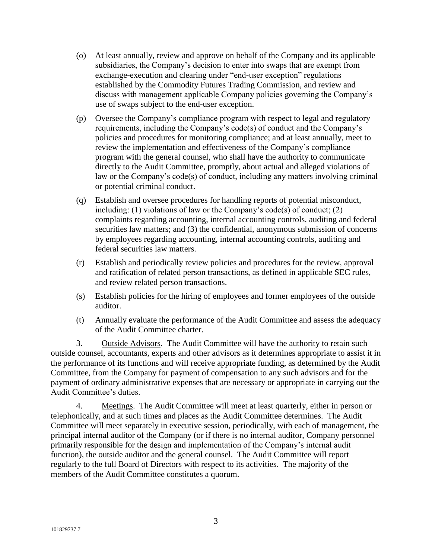- (o) At least annually, review and approve on behalf of the Company and its applicable subsidiaries, the Company's decision to enter into swaps that are exempt from exchange-execution and clearing under "end-user exception" regulations established by the Commodity Futures Trading Commission, and review and discuss with management applicable Company policies governing the Company's use of swaps subject to the end-user exception.
- (p) Oversee the Company's compliance program with respect to legal and regulatory requirements, including the Company's code(s) of conduct and the Company's policies and procedures for monitoring compliance; and at least annually, meet to review the implementation and effectiveness of the Company's compliance program with the general counsel, who shall have the authority to communicate directly to the Audit Committee, promptly, about actual and alleged violations of law or the Company's code(s) of conduct, including any matters involving criminal or potential criminal conduct.
- (q) Establish and oversee procedures for handling reports of potential misconduct, including: (1) violations of law or the Company's code(s) of conduct; (2) complaints regarding accounting, internal accounting controls, auditing and federal securities law matters; and (3) the confidential, anonymous submission of concerns by employees regarding accounting, internal accounting controls, auditing and federal securities law matters.
- (r) Establish and periodically review policies and procedures for the review, approval and ratification of related person transactions, as defined in applicable SEC rules, and review related person transactions.
- (s) Establish policies for the hiring of employees and former employees of the outside auditor.
- (t) Annually evaluate the performance of the Audit Committee and assess the adequacy of the Audit Committee charter.

3. Outside Advisors. The Audit Committee will have the authority to retain such outside counsel, accountants, experts and other advisors as it determines appropriate to assist it in the performance of its functions and will receive appropriate funding, as determined by the Audit Committee, from the Company for payment of compensation to any such advisors and for the payment of ordinary administrative expenses that are necessary or appropriate in carrying out the Audit Committee's duties.

4. Meetings. The Audit Committee will meet at least quarterly, either in person or telephonically, and at such times and places as the Audit Committee determines. The Audit Committee will meet separately in executive session, periodically, with each of management, the principal internal auditor of the Company (or if there is no internal auditor, Company personnel primarily responsible for the design and implementation of the Company's internal audit function), the outside auditor and the general counsel. The Audit Committee will report regularly to the full Board of Directors with respect to its activities. The majority of the members of the Audit Committee constitutes a quorum.